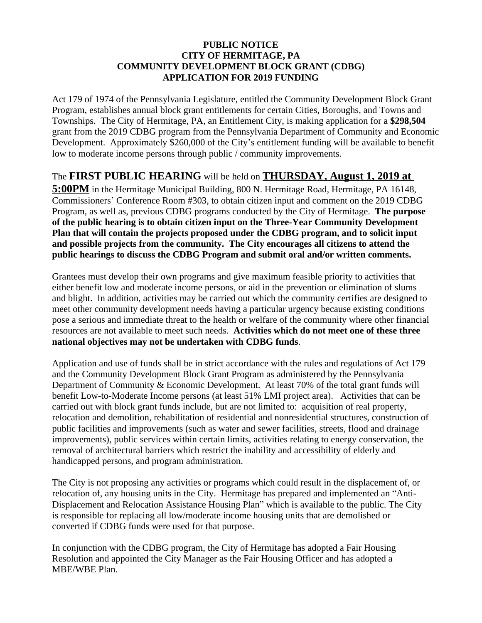## **PUBLIC NOTICE CITY OF HERMITAGE, PA COMMUNITY DEVELOPMENT BLOCK GRANT (CDBG) APPLICATION FOR 2019 FUNDING**

Act 179 of 1974 of the Pennsylvania Legislature, entitled the Community Development Block Grant Program, establishes annual block grant entitlements for certain Cities, Boroughs, and Towns and Townships. The City of Hermitage, PA, an Entitlement City, is making application for a **\$298,504** grant from the 2019 CDBG program from the Pennsylvania Department of Community and Economic Development. Approximately \$260,000 of the City's entitlement funding will be available to benefit low to moderate income persons through public / community improvements.

## The **FIRST PUBLIC HEARING** will be held on **THURSDAY, August 1, 2019 at**

**5:00PM** in the Hermitage Municipal Building, 800 N. Hermitage Road, Hermitage, PA 16148, Commissioners' Conference Room #303, to obtain citizen input and comment on the 2019 CDBG Program, as well as, previous CDBG programs conducted by the City of Hermitage. **The purpose of the public hearing is to obtain citizen input on the Three-Year Community Development Plan that will contain the projects proposed under the CDBG program, and to solicit input and possible projects from the community. The City encourages all citizens to attend the public hearings to discuss the CDBG Program and submit oral and/or written comments.** 

Grantees must develop their own programs and give maximum feasible priority to activities that either benefit low and moderate income persons, or aid in the prevention or elimination of slums and blight. In addition, activities may be carried out which the community certifies are designed to meet other community development needs having a particular urgency because existing conditions pose a serious and immediate threat to the health or welfare of the community where other financial resources are not available to meet such needs. **Activities which do not meet one of these three national objectives may not be undertaken with CDBG funds**.

Application and use of funds shall be in strict accordance with the rules and regulations of Act 179 and the Community Development Block Grant Program as administered by the Pennsylvania Department of Community & Economic Development. At least 70% of the total grant funds will benefit Low-to-Moderate Income persons (at least 51% LMI project area). Activities that can be carried out with block grant funds include, but are not limited to: acquisition of real property, relocation and demolition, rehabilitation of residential and nonresidential structures, construction of public facilities and improvements (such as water and sewer facilities, streets, flood and drainage improvements), public services within certain limits, activities relating to energy conservation, the removal of architectural barriers which restrict the inability and accessibility of elderly and handicapped persons, and program administration.

The City is not proposing any activities or programs which could result in the displacement of, or relocation of, any housing units in the City. Hermitage has prepared and implemented an "Anti-Displacement and Relocation Assistance Housing Plan" which is available to the public. The City is responsible for replacing all low/moderate income housing units that are demolished or converted if CDBG funds were used for that purpose.

In conjunction with the CDBG program, the City of Hermitage has adopted a Fair Housing Resolution and appointed the City Manager as the Fair Housing Officer and has adopted a MBE/WBE Plan.